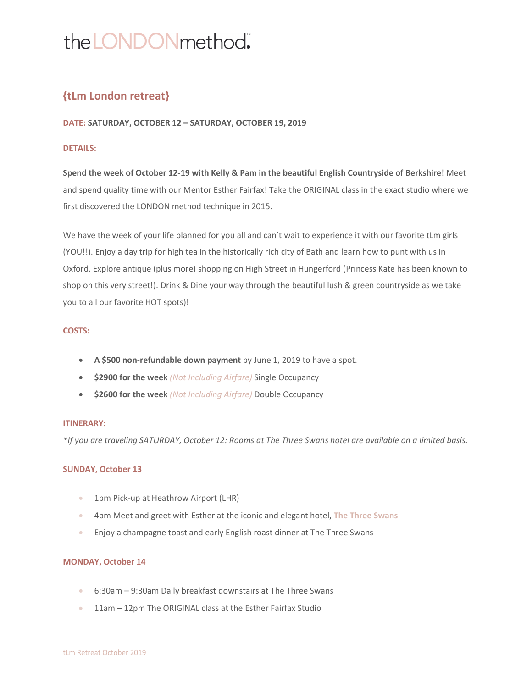# the LONDON method.

# **{tLm London retreat}**

### **DATE: SATURDAY, OCTOBER 12 – SATURDAY, OCTOBER 19, 2019**

### **DETAILS:**

**Spend the week of October 12-19 with Kelly & Pam in the beautiful English Countryside of Berkshire!** Meet and spend quality time with our Mentor Esther Fairfax! Take the ORIGINAL class in the exact studio where we first discovered the LONDON method technique in 2015.

We have the week of your life planned for you all and can't wait to experience it with our favorite tLm girls (YOU!!). Enjoy a day trip for high tea in the historically rich city of Bath and learn how to punt with us in Oxford. Explore antique (plus more) shopping on High Street in Hungerford (Princess Kate has been known to shop on this very street!). Drink & Dine your way through the beautiful lush & green countryside as we take you to all our favorite HOT spots)!

### **COSTS:**

- **A \$500 non-refundable down payment** by June 1, 2019 to have a spot.
- **\$2900 for the week** *(Not Including Airfare)* Single Occupancy
- **\$2600 for the week** *(Not Including Airfare)* Double Occupancy

### **ITINERARY:**

*\*If you are traveling SATURDAY, October 12: Rooms at The Three Swans hotel are available on a limited basis.*

### **SUNDAY, October 13**

- 1pm Pick-up at Heathrow Airport (LHR)
- 4pm Meet and greet with Esther at the iconic and elegant hotel, **The Three Swans**
- Enjoy a champagne toast and early English roast dinner at The Three Swans

### **MONDAY, October 14**

- 6:30am 9:30am Daily breakfast downstairs at The Three Swans
- 11am 12pm The ORIGINAL class at the Esther Fairfax Studio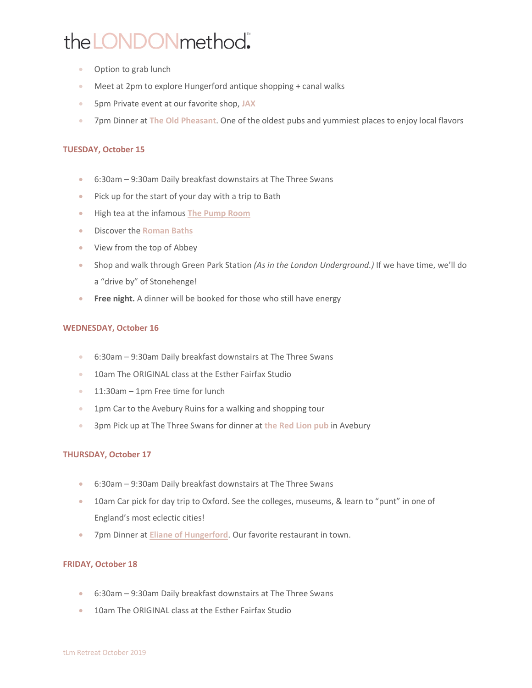# the LONDON method.

- Option to grab lunch
- Meet at 2pm to explore Hungerford antique shopping + canal walks
- 5pm Private event at our favorite shop, **JAX**
- 7pm Dinner at **The Old Pheasant**. One of the oldest pubs and yummiest places to enjoy local flavors

### **TUESDAY, October 15**

- 6:30am 9:30am Daily breakfast downstairs at The Three Swans
- Pick up for the start of your day with a trip to Bath
- High tea at the infamous **The Pump Room**
- Discover the **Roman Baths**
- View from the top of Abbey
- Shop and walk through Green Park Station *(As in the London Underground.)* If we have time, we'll do a "drive by" of Stonehenge!
- **Free night.** A dinner will be booked for those who still have energy

### **WEDNESDAY, October 16**

- 6:30am 9:30am Daily breakfast downstairs at The Three Swans
- 10am The ORIGINAL class at the Esther Fairfax Studio
- 11:30am 1pm Free time for lunch
- 1pm Car to the Avebury Ruins for a walking and shopping tour
- 3pm Pick up at The Three Swans for dinner at **the Red Lion pub** in Avebury

### **THURSDAY, October 17**

- 6:30am 9:30am Daily breakfast downstairs at The Three Swans
- 10am Car pick for day trip to Oxford. See the colleges, museums, & learn to "punt" in one of England's most eclectic cities!
- 7pm Dinner at **Eliane of Hungerford**. Our favorite restaurant in town.

### **FRIDAY, October 18**

- 6:30am 9:30am Daily breakfast downstairs at The Three Swans
- 10am The ORIGINAL class at the Esther Fairfax Studio